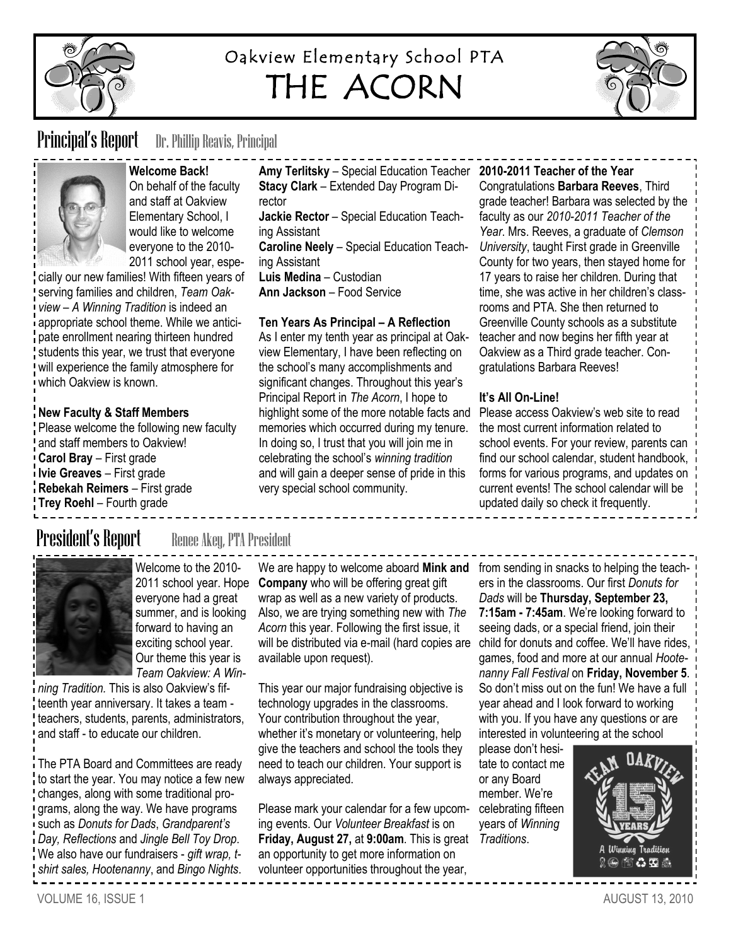

# Oakview Elementary School PTA THE ACORN



## **Principal's Report** Dr. Phillip Reavis, Principal



**Welcome Back!** On behalf of the faculty and staff at Oakview Elementary School, I would like to welcome everyone to the 2010- 2011 school year, espe-

cially our new families! With fifteen years of serving families and children, *Team Oakview – A Winning Tradition* is indeed an appropriate school theme. While we anticipate enrollment nearing thirteen hundred students this year, we trust that everyone will experience the family atmosphere for which Oakview is known.

### **New Faculty & Staff Members**

Please welcome the following new faculty and staff members to Oakview! **Carol Bray** – First grade **Ivie Greaves** – First grade **Rebekah Reimers** – First grade **Trey Roehl** – Fourth grade

**Amy Terlitsky** – Special Education Teacher **2010-2011 Teacher of the Year Stacy Clark** – Extended Day Program Director **Jackie Rector** – Special Education Teaching Assistant **Caroline Neely** – Special Education Teaching Assistant **Luis Medina** – Custodian **Ann Jackson** – Food Service

#### **Ten Years As Principal – A Reflection**

As I enter my tenth year as principal at Oakview Elementary, I have been reflecting on the school's many accomplishments and significant changes. Throughout this year's Principal Report in *The Acorn*, I hope to highlight some of the more notable facts and memories which occurred during my tenure. In doing so, I trust that you will join me in celebrating the school's *winning tradition*  and will gain a deeper sense of pride in this very special school community.

Congratulations **Barbara Reeves**, Third grade teacher! Barbara was selected by the faculty as our *2010-2011 Teacher of the Year*. Mrs. Reeves, a graduate of *Clemson University*, taught First grade in Greenville County for two years, then stayed home for 17 years to raise her children. During that time, she was active in her children's classrooms and PTA. She then returned to Greenville County schools as a substitute teacher and now begins her fifth year at Oakview as a Third grade teacher. Congratulations Barbara Reeves!

### **It's All On-Line!**

Please access Oakview's web site to read the most current information related to school events. For your review, parents can find our school calendar, student handbook, forms for various programs, and updates on current events! The school calendar will be updated daily so check it frequently.

## **President's Report** Renee Akey, PTA President



Welcome to the 2010- 2011 school year. Hope everyone had a great summer, and is looking forward to having an exciting school year. Our theme this year is *Team Oakview: A Win-*

*ning Tradition.* This is also Oakview's fifteenth year anniversary. It takes a team teachers, students, parents, administrators, and staff - to educate our children.

The PTA Board and Committees are ready to start the year. You may notice a few new changes, along with some traditional programs, along the way. We have programs such as *Donuts for Dads*, *Grandparent's Day, Reflections* and *Jingle Bell Toy Drop*. We also have our fundraisers - *gift wrap, tshirt sales, Hootenanny*, and *Bingo Nights*.

We are happy to welcome aboard **Mink and** from sending in snacks to helping the teach-**Company** who will be offering great gift wrap as well as a new variety of products. Also, we are trying something new with *The Acorn* this year. Following the first issue, it will be distributed via e-mail (hard copies are available upon request).

This year our major fundraising objective is technology upgrades in the classrooms. Your contribution throughout the year, whether it's monetary or volunteering, help give the teachers and school the tools they need to teach our children. Your support is always appreciated.

Please mark your calendar for a few upcoming events. Our *Volunteer Breakfast* is on **Friday, August 27,** at **9:00am**. This is great *Traditions*. an opportunity to get more information on volunteer opportunities throughout the year,

ers in the classrooms. Our first *Donuts for Dads* will be **Thursday, September 23, 7:15am - 7:45am**. We're looking forward to seeing dads, or a special friend, join their child for donuts and coffee. We'll have rides, games, food and more at our annual *Hootenanny Fall Festival* on **Friday, November 5**. So don't miss out on the fun! We have a full year ahead and I look forward to working with you. If you have any questions or are interested in volunteering at the school

please don't hesitate to contact me or any Board member. We're celebrating fifteen years of *Winning* 

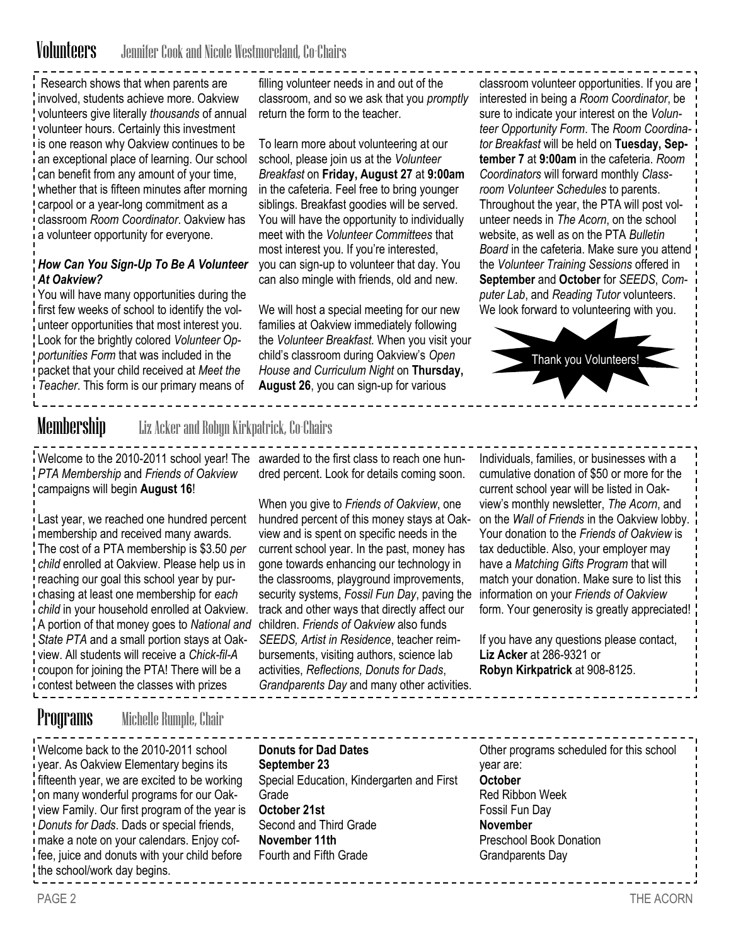## Volunteers Jennifer Cook and Nicole Westmoreland, Co-Chairs

Research shows that when parents are involved, students achieve more. Oakview volunteers give literally *thousands* of annual volunteer hours. Certainly this investment is one reason why Oakview continues to be an exceptional place of learning. Our school can benefit from any amount of your time, whether that is fifteen minutes after morning carpool or a year-long commitment as a classroom *Room Coordinator*. Oakview has a volunteer opportunity for everyone.

### *How Can You Sign-Up To Be A Volunteer At Oakview?*

You will have many opportunities during the first few weeks of school to identify the volunteer opportunities that most interest you. Look for the brightly colored *Volunteer Opportunities Form* that was included in the packet that your child received at *Meet the Teacher*. This form is our primary means of

filling volunteer needs in and out of the classroom, and so we ask that you *promptly*  return the form to the teacher.

To learn more about volunteering at our school, please join us at the *Volunteer Breakfast* on **Friday, August 27** at **9:00am**  in the cafeteria. Feel free to bring younger siblings. Breakfast goodies will be served. You will have the opportunity to individually meet with the *Volunteer Committees* that most interest you. If you're interested, you can sign-up to volunteer that day. You can also mingle with friends, old and new.

We will host a special meeting for our new families at Oakview immediately following the *Volunteer Breakfast.* When you visit your child's classroom during Oakview's *Open House and Curriculum Night* on **Thursday, August 26**, you can sign-up for various

classroom volunteer opportunities. If you are interested in being a *Room Coordinator*, be sure to indicate your interest on the *Volunteer Opportunity Form*. The *Room Coordinator Breakfast* will be held on **Tuesday, September 7** at **9:00am** in the cafeteria. *Room Coordinators* will forward monthly *Classroom Volunteer Schedules* to parents. Throughout the year, the PTA will post volunteer needs in *The Acorn*, on the school website, as well as on the PTA *Bulletin Board* in the cafeteria. Make sure you attend the *Volunteer Training Sessions* offered in **September** and **October** for *SEEDS*, *Computer Lab*, and *Reading Tutor* volunteers. We look forward to volunteering with you.



Membership Liz Acker and Robyn Kirkpatrick, Co-Chairs

*PTA Membership* and *Friends of Oakview*  campaigns will begin **August 16**!

Last year, we reached one hundred percent membership and received many awards*.*  The cost of a PTA membership is \$3.50 *per child* enrolled at Oakview. Please help us in reaching our goal this school year by purchasing at least one membership for *each child* in your household enrolled at Oakview. A portion of that money goes to *National and State PTA* and a small portion stays at Oakview. All students will receive a *Chick-fil-A*  coupon for joining the PTA! There will be a contest between the classes with prizes

Welcome to the 2010-2011 school year! The awarded to the first class to reach one hundred percent. Look for details coming soon.

> When you give to *Friends of Oakview*, one hundred percent of this money stays at Oakview and is spent on specific needs in the current school year. In the past, money has gone towards enhancing our technology in the classrooms, playground improvements, security systems, *Fossil Fun Day*, paving the track and other ways that directly affect our children. *Friends of Oakview* also funds *SEEDS, Artist in Residence*, teacher reimbursements, visiting authors, science lab activities, *Reflections, Donuts for Dads*, *Grandparents Day* and many other activities.

Individuals, families, or businesses with a cumulative donation of \$50 or more for the current school year will be listed in Oakview's monthly newsletter, *The Acorn*, and on the *Wall of Friends* in the Oakview lobby. Your donation to the *Friends of Oakview* is tax deductible. Also, your employer may have a *Matching Gifts Program* that will match your donation. Make sure to list this information on your *Friends of Oakview*  form. Your generosity is greatly appreciated!

If you have any questions please contact, **Liz Acker** at 286-9321 or **Robyn Kirkpatrick** at 908-8125.

### Programs Michelle Rumple, Chair

Welcome back to the 2010-2011 school year. As Oakview Elementary begins its fifteenth year, we are excited to be working on many wonderful programs for our Oakview Family. Our first program of the year is *Donuts for Dads*. Dads or special friends, make a note on your calendars. Enjoy coffee, juice and donuts with your child before the school/work day begins.

**Donuts for Dad Dates September 23** Special Education, Kindergarten and First **Grade October 21st** Second and Third Grade **November 11th** Fourth and Fifth Grade

Other programs scheduled for this school year are: **October** Red Ribbon Week Fossil Fun Day **November**  Preschool Book Donation Grandparents Day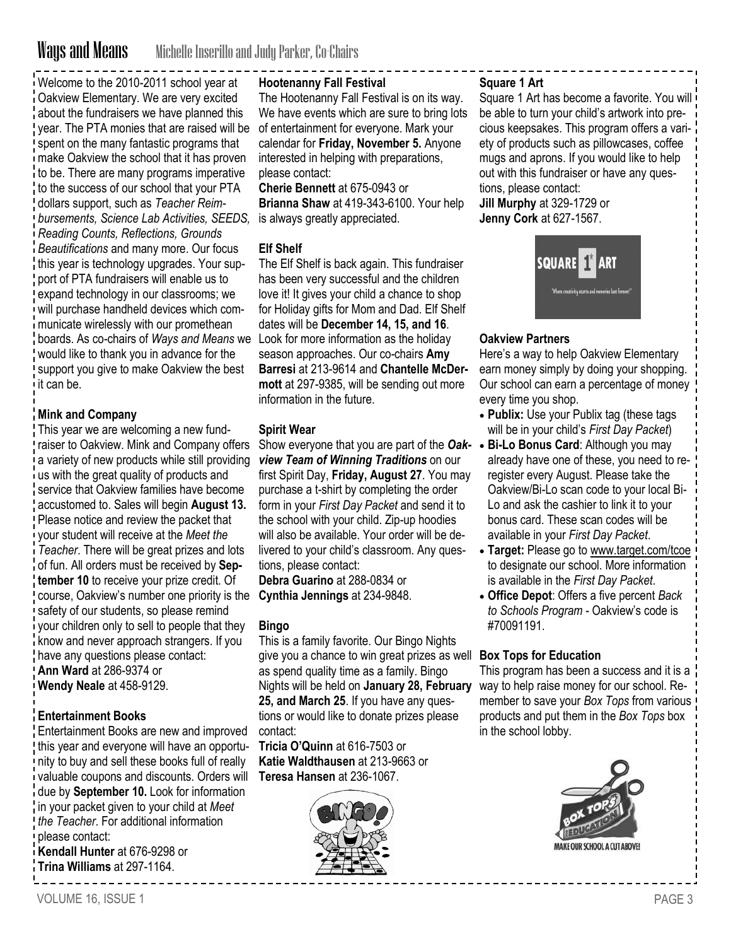# Ways and Means Michelle Inserillo and Judy Parker, Co-Chairs

Welcome to the 2010-2011 school year at Oakview Elementary. We are very excited about the fundraisers we have planned this year. The PTA monies that are raised will be spent on the many fantastic programs that make Oakview the school that it has proven to be. There are many programs imperative to the success of our school that your PTA dollars support, such as *Teacher Reimbursements, Science Lab Activities, SEEDS, Reading Counts, Reflections, Grounds Beautifications* and many more. Our focus this year is technology upgrades. Your support of PTA fundraisers will enable us to expand technology in our classrooms; we will purchase handheld devices which communicate wirelessly with our promethean boards. As co-chairs of *Ways and Means* we Look for more information as the holiday would like to thank you in advance for the support you give to make Oakview the best it can be.

#### **Mink and Company**

This year we are welcoming a new fundraiser to Oakview. Mink and Company offers a variety of new products while still providing us with the great quality of products and service that Oakview families have become accustomed to. Sales will begin **August 13.** Please notice and review the packet that your student will receive at the *Meet the Teacher*. There will be great prizes and lots of fun. All orders must be received by **September 10** to receive your prize credit. Of course, Oakview's number one priority is the safety of our students, so please remind your children only to sell to people that they know and never approach strangers. If you have any questions please contact: **Ann Ward** at 286-9374 or **Wendy Neale** at 458-9129.

#### **Entertainment Books**

Entertainment Books are new and improved this year and everyone will have an opportunity to buy and sell these books full of really valuable coupons and discounts. Orders will due by **September 10.** Look for information in your packet given to your child at *Meet the Teacher*. For additional information please contact:

**Kendall Hunter** at 676-9298 or **Trina Williams** at 297-1164.

#### **Hootenanny Fall Festival**

The Hootenanny Fall Festival is on its way. We have events which are sure to bring lots of entertainment for everyone. Mark your calendar for **Friday, November 5.** Anyone interested in helping with preparations, please contact:

**Cherie Bennett** at 675-0943 or **Brianna Shaw** at 419-343-6100. Your help is always greatly appreciated.

#### **Elf Shelf**

The Elf Shelf is back again. This fundraiser has been very successful and the children love it! It gives your child a chance to shop for Holiday gifts for Mom and Dad. Elf Shelf dates will be **December 14, 15, and 16**. season approaches. Our co-chairs **Amy Barresi** at 213-9614 and **Chantelle McDermott** at 297-9385, will be sending out more information in the future.

#### **Spirit Wear**

Show everyone that you are part of the *Oak-* **Bi-Lo Bonus Card**: Although you may *view Team of Winning Traditions* on our first Spirit Day, **Friday, August 27**. You may purchase a t-shirt by completing the order form in your *First Day Packet* and send it to the school with your child. Zip-up hoodies will also be available. Your order will be delivered to your child's classroom. Any questions, please contact:

**Debra Guarino** at 288-0834 or **Cynthia Jennings** at 234-9848.

#### **Bingo**

This is a family favorite. Our Bingo Nights give you a chance to win great prizes as well as spend quality time as a family. Bingo Nights will be held on **January 28, February 25, and March 25**. If you have any questions or would like to donate prizes please contact:

**Tricia O'Quinn** at 616-7503 or **Katie Waldthausen** at 213-9663 or **Teresa Hansen** at 236-1067.



#### **Square 1 Art**

Square 1 Art has become a favorite. You will be able to turn your child's artwork into precious keepsakes. This program offers a variety of products such as pillowcases, coffee mugs and aprons. If you would like to help out with this fundraiser or have any questions, please contact:

**Jill Murphy** at 329-1729 or **Jenny Cork** at 627-1567.



#### **Oakview Partners**

Here's a way to help Oakview Elementary earn money simply by doing your shopping. Our school can earn a percentage of money every time you shop.

- **Publix:** Use your Publix tag (these tags will be in your child's *First Day Packet*)
- already have one of these, you need to reregister every August. Please take the Oakview/Bi-Lo scan code to your local Bi-Lo and ask the cashier to link it to your bonus card. These scan codes will be available in your *First Day Packet*.
- **Target:** Please go to [www.target.com/tcoe](http://www.target.com/tcoe) to designate our school. More information is available in the *First Day Packet*.
- **Office Depot**: Offers a five percent *Back to Schools Program* - Oakview's code is #70091191.

#### **Box Tops for Education**

This program has been a success and it is a way to help raise money for our school. Remember to save your *Box Tops* from various products and put them in the *Box Tops* box in the school lobby.

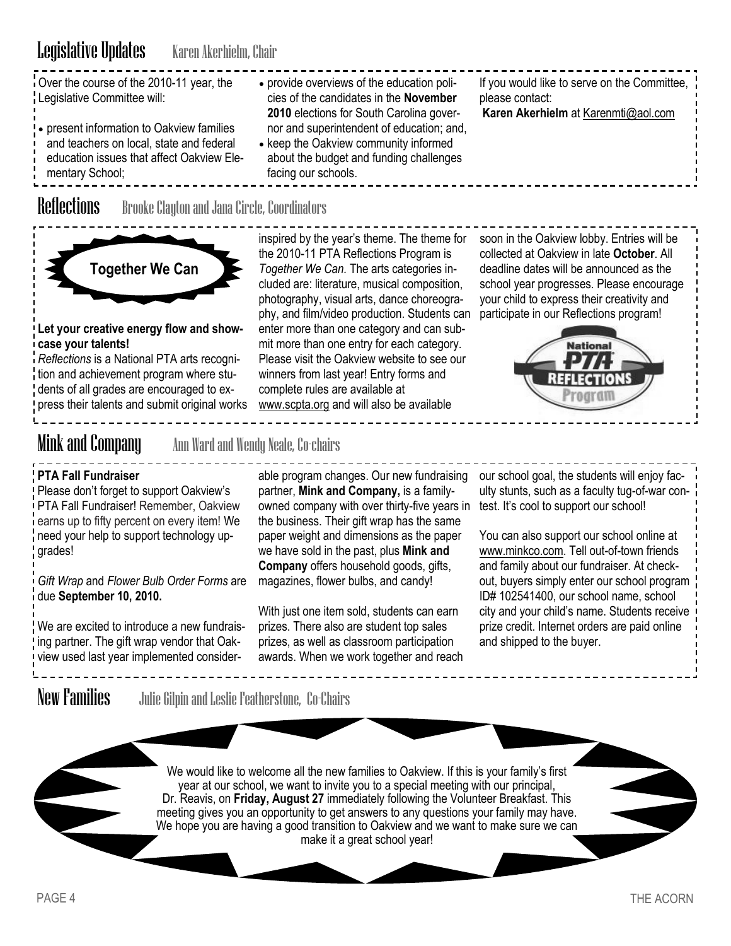| Over the course of the 2010-11 year, the<br>• provide overviews of the education poli-<br>Legislative Committee will:<br>cies of the candidates in the November<br>2010 elections for South Carolina gover-<br>• present information to Oakview families<br>nor and superintendent of education; and,<br>and teachers on local, state and federal<br>• keep the Oakview community informed<br>education issues that affect Oakview Ele-<br>about the budget and funding challenges<br>facing our schools.<br>mentary School; | If you would like to serve on the Committee, $\frac{1}{1}$<br>please contact:<br>Karen Akerhielm at Karenmti@aol.com |
|------------------------------------------------------------------------------------------------------------------------------------------------------------------------------------------------------------------------------------------------------------------------------------------------------------------------------------------------------------------------------------------------------------------------------------------------------------------------------------------------------------------------------|----------------------------------------------------------------------------------------------------------------------|
|------------------------------------------------------------------------------------------------------------------------------------------------------------------------------------------------------------------------------------------------------------------------------------------------------------------------------------------------------------------------------------------------------------------------------------------------------------------------------------------------------------------------------|----------------------------------------------------------------------------------------------------------------------|

Reflections Brooke Clayton and Jana Circle, Coordinators



### **Let your creative energy flow and showcase your talents!**

*Reflections* is a National PTA arts recognition and achievement program where students of all grades are encouraged to express their talents and submit original works

inspired by the year's theme. The theme for soon in the Oakview lobby. Entries will be the 2010-11 PTA Reflections Program is *Together We Can.* The arts categories included are: literature, musical composition, photography, visual arts, dance choreography, and film/video production. Students can enter more than one category and can submit more than one entry for each category. Please visit the Oakview website to see our winners from last year! Entry forms and complete rules are available at [www.scpta.org](http://www.scpta.org/) and will also be available

collected at Oakview in late **October**. All deadline dates will be announced as the school year progresses. Please encourage your child to express their creativity and participate in our Reflections program!



Mink and Company Ann Ward and Wendy Neale, Co-chairs

### **PTA Fall Fundraiser**

Please don't forget to support Oakview's PTA Fall Fundraiser! Remember, Oakview earns up to fifty percent on every item! We need your help to support technology upgrades!

*Gift Wrap* and *Flower Bulb Order Forms* are due **September 10, 2010.**

We are excited to introduce a new fundraising partner. The gift wrap vendor that Oakview used last year implemented consider-

able program changes. Our new fundraising partner, **Mink and Company,** is a familyowned company with over thirty-five years in the business. Their gift wrap has the same paper weight and dimensions as the paper we have sold in the past, plus **Mink and Company** offers household goods, gifts, magazines, flower bulbs, and candy!

With just one item sold, students can earn prizes. There also are student top sales prizes, as well as classroom participation awards. When we work together and reach our school goal, the students will enjoy faculty stunts, such as a faculty tug-of-war contest. It's cool to support our school!

You can also support our school online at [www.minkco.com.](http://www.minkco.com) Tell out-of-town friends and family about our fundraiser. At checkout, buyers simply enter our school program ID# 102541400, our school name, school city and your child's name. Students receive prize credit. Internet orders are paid online and shipped to the buyer.

New Families Julie Gilpin and Leslie Featherstone, Co-Chairs

We would like to welcome all the new families to Oakview. If this is your family's first year at our school, we want to invite you to a special meeting with our principal, Dr. Reavis, on **Friday, August 27** immediately following the Volunteer Breakfast. This meeting gives you an opportunity to get answers to any questions your family may have. We hope you are having a good transition to Oakview and we want to make sure we can make it a great school year!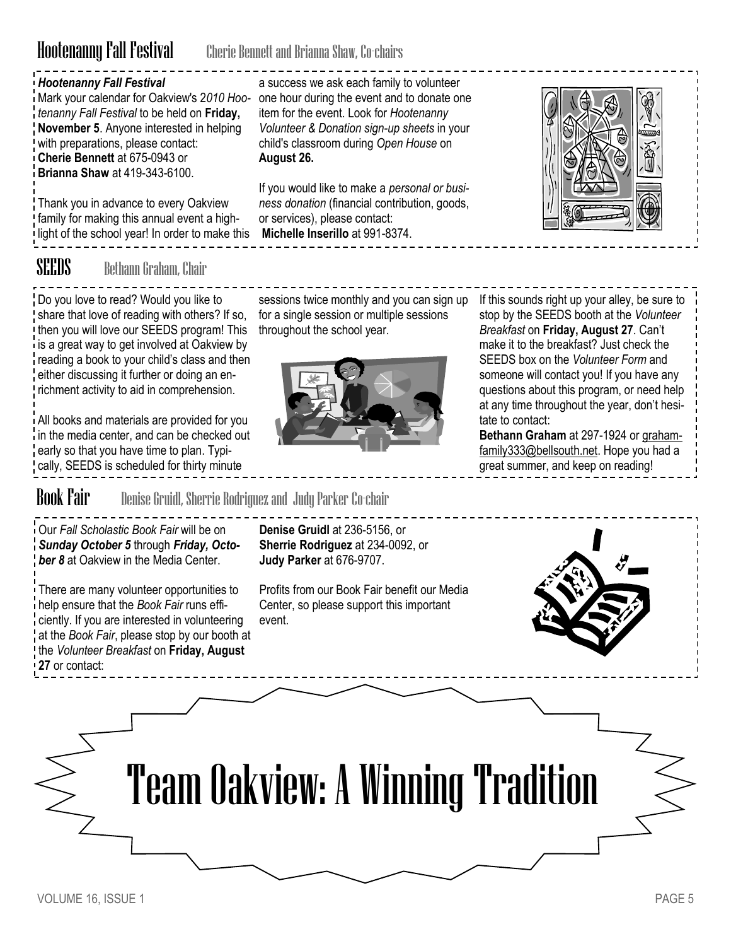## Hootenanny Fall Festival Cherie Bennett and Brianna Shaw, Co-chairs

**August 26.**

### *Hootenanny Fall Festival*

Mark your calendar for Oakview's 2*010 Hoo-*one hour during the event and to donate one *tenanny Fall Festival* to be held on **Friday, November 5**. Anyone interested in helping with preparations, please contact: **Cherie Bennett** at 675-0943 or **Brianna Shaw** at 419-343-6100.

Thank you in advance to every Oakview family for making this annual event a highlight of the school year! In order to make this **Michelle Inserillo** at 991-8374.

SEEDS Bethann Graham, Chair

Do you love to read? Would you like to share that love of reading with others? If so, then you will love our SEEDS program! This is a great way to get involved at Oakview by reading a book to your child's class and then either discussing it further or doing an enrichment activity to aid in comprehension.

All books and materials are provided for you in the media center, and can be checked out early so that you have time to plan. Typically, SEEDS is scheduled for thirty minute

sessions twice monthly and you can sign up for a single session or multiple sessions throughout the school year.

If you would like to make a *personal or business donation* (financial contribution, goods,

or services), please contact:

a success we ask each family to volunteer

item for the event. Look for *Hootenanny Volunteer & Donation sign-up sheets* in your child's classroom during *Open House* on



If this sounds right up your alley, be sure to stop by the SEEDS booth at the *Volunteer Breakfast* on **Friday, August 27**. Can't make it to the breakfast? Just check the SEEDS box on the *Volunteer Form* and someone will contact you! If you have any questions about this program, or need help at any time throughout the year, don't hesitate to contact:

**Bethann Graham** at 297-1924 or [graham](mailto:grahamfamily333@bellsouth.net)[family333@bellsouth.net.](mailto:grahamfamily333@bellsouth.net) Hope you had a great summer, and keep on reading!

**Book Fair** Denise Gruidl, Sherrie Rodriguez and Judy Parker Co-chair

Our *Fall Scholastic Book Fair* will be on *Sunday October 5* through *Friday, October 8* at Oakview in the Media Center.

There are many volunteer opportunities to help ensure that the *Book Fair* runs efficiently. If you are interested in volunteering at the *Book Fair*, please stop by our booth at the *Volunteer Breakfast* on **Friday, August 27** or contact:

**Denise Gruidl** at 236-5156, or **Sherrie Rodriguez** at 234-0092, or **Judy Parker** at 676-9707.

Profits from our Book Fair benefit our Media Center, so please support this important event.

Team Oakview: A Winning Tradition